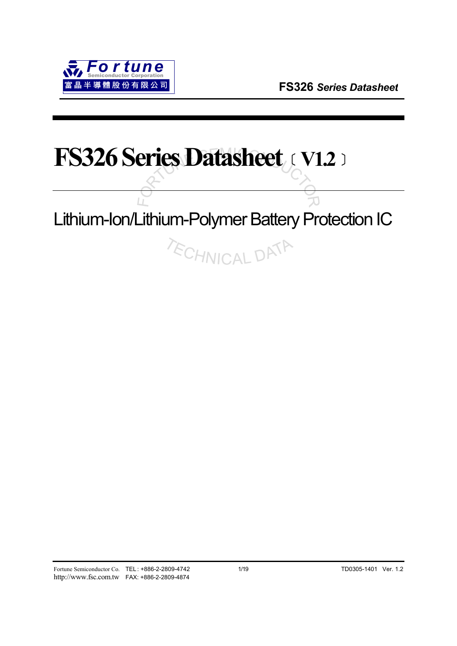# **FS326 Series Datasheet**﹝**V1.2**﹞

# Lithium-Ion/Lithium-Polymer Battery Protection IC

**TECHNICAL DATA**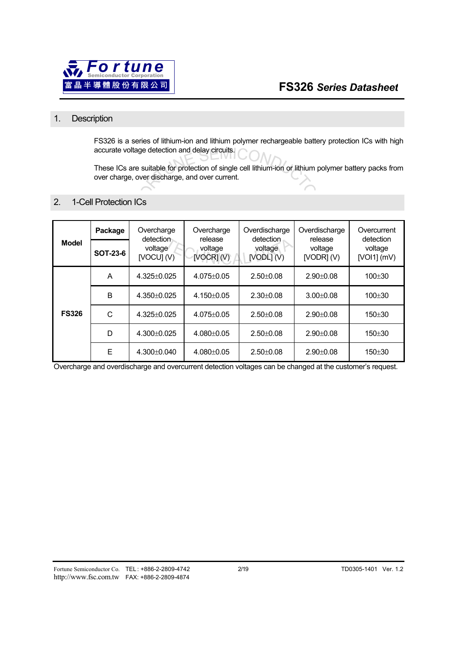

## 1. Description

FS326 is a series of lithium-ion and lithium polymer rechargeable battery protection ICs with high accurate voltage detection and delay circuits.

These ICs are suitable for protection of single cell lithium-ion or lithium polymer battery packs from over charge, over discharge, and over current.

## 2. 1-Cell Protection ICs

| <b>Model</b> | Package         | Overcharge<br>detection | Overcharge<br>release     | Overdischarge<br>detection | Overdischarge<br>release | Overcurrent<br>detection<br>voltage<br>$[VOI1]$ (mV) |  |
|--------------|-----------------|-------------------------|---------------------------|----------------------------|--------------------------|------------------------------------------------------|--|
|              | <b>SOT-23-6</b> | voltage<br>[VOCU] (V)   | voltage<br>$[VOCR]$ $(V)$ | voltage<br>$[VODL]$ $(V)$  | voltage<br>[VODR] (V)    |                                                      |  |
| <b>FS326</b> | A               | $4.325 \pm 0.025$       | $4.075 \pm 0.05$          | $2.50 + 0.08$              | $2.90 + 0.08$            | $100 + 30$                                           |  |
|              | B               | $4.350+0.025$           | $4.150 + 0.05$            | $2.30 + 0.08$              | $3.00 + 0.08$            | $100 + 30$                                           |  |
|              | C               | $4.325 \pm 0.025$       | $4.075 \pm 0.05$          | $2.50 + 0.08$              | $2.90 + 0.08$            | $150 + 30$                                           |  |
|              | D               | 4.300±0.025             | $4.080 \pm 0.05$          | $2.50 \pm 0.08$            | $2.90 \pm 0.08$          | $150 + 30$                                           |  |
|              | Ε               | $4.300 + 0.040$         | $4.080 + 0.05$            | $2.50 + 0.08$              | $2.90 + 0.08$            | $150 + 30$                                           |  |

Overcharge and overdischarge and overcurrent detection voltages can be changed at the customer's request.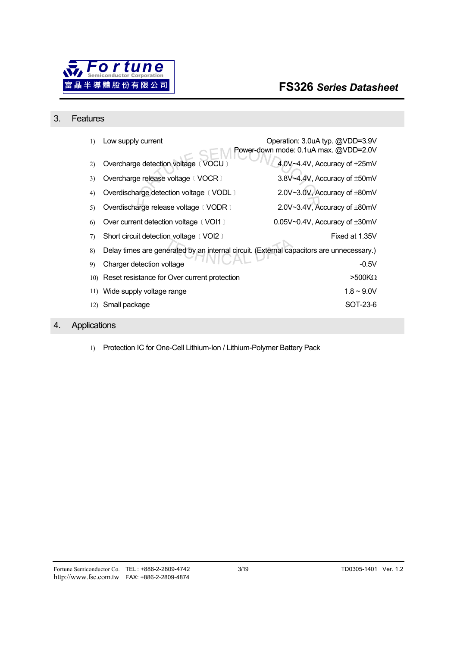

### 3. Features

| 1)  | Low supply current                                                                       | Operation: 3.0uA typ. @VDD=3.9V<br>Power-down mode: 0.1uA max. @VDD=2.0V |
|-----|------------------------------------------------------------------------------------------|--------------------------------------------------------------------------|
| 2)  | Overcharge detection voltage (VOCU)                                                      | 4.0V~4.4V, Accuracy of ±25mV                                             |
| 3)  | Overcharge release voltage (VOCR)                                                        | 3.8V~4.4V, Accuracy of ±50mV                                             |
| 4)  | Overdischarge detection voltage (VODL)                                                   | 2.0V~3.0V, Accuracy of ±80mV                                             |
| 5)  | Overdischarge release voltage (VODR)                                                     | 2.0V~3.4V, Accuracy of $\pm$ 80mV                                        |
| 6)  | Over current detection voltage (VOI1)                                                    | 0.05V $\sim$ 0.4V, Accuracy of $\pm$ 30mV                                |
| 7)  | Short circuit detection voltage (VOI2)                                                   | Fixed at 1.35V                                                           |
| 8)  | Delay times are generated by an internal circuit. (External capacitors are unnecessary.) |                                                                          |
| 9)  | Charger detection voltage                                                                | $-0.5V$                                                                  |
| 10) | Reset resistance for Over current protection                                             | $>500K\Omega$                                                            |
| 11) | Wide supply voltage range                                                                | $1.8 - 9.0V$                                                             |
| 12) | Small package                                                                            | SOT-23-6                                                                 |

# 4. Applications

1) Protection IC for One-Cell Lithium-Ion / Lithium-Polymer Battery Pack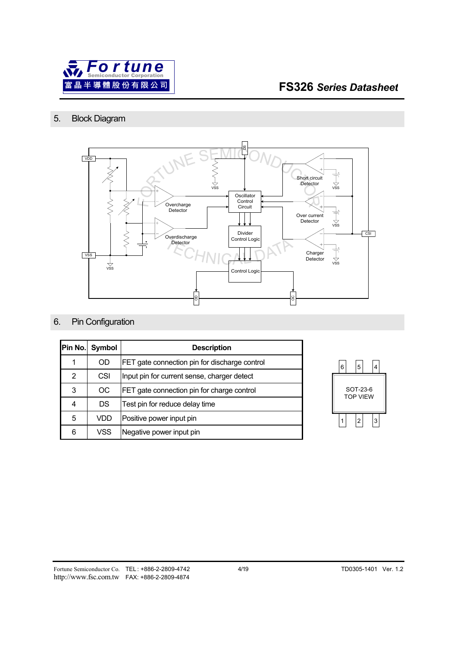

## 5. Block Diagram



## 6. Pin Configuration

|   | Pin No. Symbol | <b>Description</b>                            |  |  |
|---|----------------|-----------------------------------------------|--|--|
| 1 | OD             | FET gate connection pin for discharge control |  |  |
| 2 | CSI            | Input pin for current sense, charger detect   |  |  |
| 3 | OC             | FET gate connection pin for charge control    |  |  |
| 4 | DS             | Test pin for reduce delay time                |  |  |
| 5 | VDD            | Positive power input pin                      |  |  |
| 6 | VSS            | Negative power input pin                      |  |  |

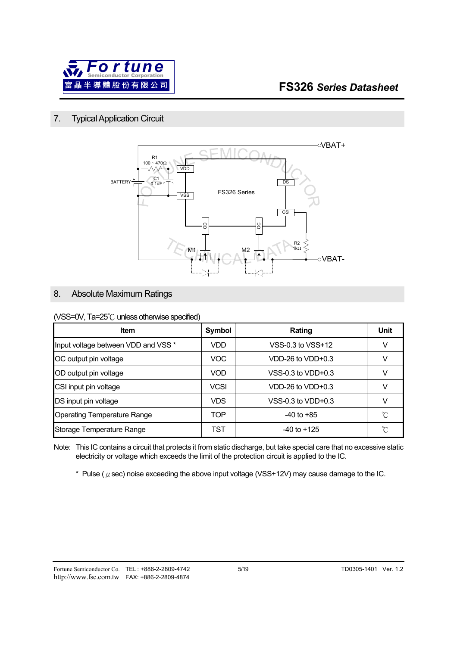

## 7. Typical Application Circuit



## 8. Absolute Maximum Ratings

#### (VSS=0V, Ta=25℃ unless otherwise specified)

| <b>Item</b>                         | Symbol      | Rating                | Unit |
|-------------------------------------|-------------|-----------------------|------|
| Input voltage between VDD and VSS * | VDD.        | VSS-0.3 to VSS+12     |      |
| OC output pin voltage               | VOC.        | $VDD-26$ to $VDD+0.3$ |      |
| OD output pin voltage               | <b>VOD</b>  | VSS-0.3 to $VDD+0.3$  |      |
| CSI input pin voltage               | <b>VCSI</b> | VDD-26 to $VDD+0.3$   | V    |
| DS input pin voltage                | <b>VDS</b>  | VSS-0.3 to $VDD+0.3$  |      |
| <b>Operating Temperature Range</b>  | TOP         | $-40$ to $+85$        | °C   |
| Storage Temperature Range           | TST         | $-40$ to $+125$       | °∩   |

Note: This IC contains a circuit that protects it from static discharge, but take special care that no excessive static electricity or voltage which exceeds the limit of the protection circuit is applied to the IC.

\* Pulse ( $\mu$  sec) noise exceeding the above input voltage (VSS+12V) may cause damage to the IC.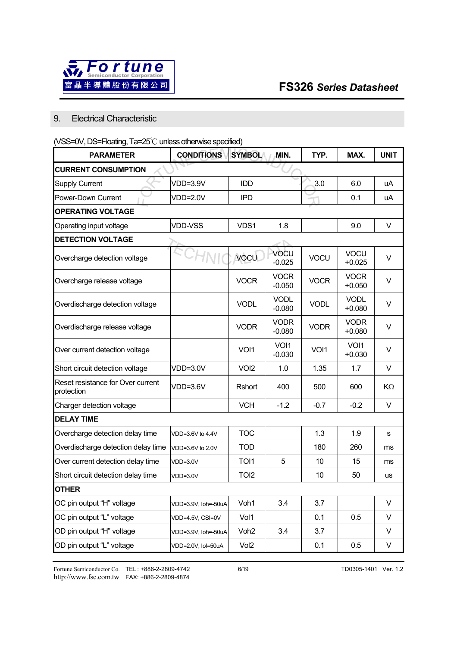

## 9. Electrical Characteristic

## (VSS=0V, DS=Floating, Ta=25℃ unless otherwise specified)

| <b>PARAMETER</b>                                | <b>CONDITIONS</b>   | <b>SYMBOL</b>    | MIN.                    | TYP.        | MAX.                    | <b>UNIT</b> |  |
|-------------------------------------------------|---------------------|------------------|-------------------------|-------------|-------------------------|-------------|--|
| <b>CURRENT CONSUMPTION</b>                      |                     |                  |                         |             |                         |             |  |
| <b>Supply Current</b>                           | VDD=3.9V            | <b>IDD</b>       |                         | 3.0         | 6.0                     | uA          |  |
| Power-Down Current                              | <b>VDD=2.0V</b>     | <b>IPD</b>       |                         |             | 0.1                     | uA          |  |
| <b>OPERATING VOLTAGE</b>                        |                     |                  |                         |             |                         |             |  |
| Operating input voltage                         | <b>VDD-VSS</b>      | VDS1             | 1.8                     |             | 9.0                     | V           |  |
| <b>DETECTION VOLTAGE</b>                        |                     |                  |                         |             |                         |             |  |
| Overcharge detection voltage                    |                     | <b>VOCU</b>      | VOCU<br>$-0.025$        | VOCU        | VOCU<br>$+0.025$        | V           |  |
| Overcharge release voltage                      |                     | <b>VOCR</b>      | <b>VOCR</b><br>$-0.050$ | <b>VOCR</b> | <b>VOCR</b><br>$+0.050$ | V           |  |
| Overdischarge detection voltage                 |                     | <b>VODL</b>      | <b>VODL</b><br>$-0.080$ | <b>VODL</b> | <b>VODL</b><br>$+0.080$ | V           |  |
| Overdischarge release voltage                   |                     | <b>VODR</b>      | <b>VODR</b><br>$-0.080$ | <b>VODR</b> | <b>VODR</b><br>$+0.080$ | V           |  |
| Over current detection voltage                  |                     | VOI1             | VOI1<br>$-0.030$        | VOI1        | VOI1<br>$+0.030$        | V           |  |
| Short circuit detection voltage                 | VDD=3.0V            | VOI <sub>2</sub> | 1.0                     | 1.35        | 1.7                     | V           |  |
| Reset resistance for Over current<br>protection | $VDD=3.6V$          | Rshort           | 400                     | 500         | 600                     | KΩ          |  |
| Charger detection voltage                       |                     | <b>VCH</b>       | $-1.2$                  | $-0.7$      | $-0.2$                  | V           |  |
| <b>DELAY TIME</b>                               |                     |                  |                         |             |                         |             |  |
| Overcharge detection delay time                 | VDD=3.6V to 4.4V    | <b>TOC</b>       |                         | 1.3         | 1.9                     | ${\bf s}$   |  |
| Overdischarge detection delay time              | VDD=3.6V to 2.0V    | <b>TOD</b>       |                         | 180         | 260                     | ms          |  |
| Over current detection delay time               | VDD=3.0V            | TOI1             | 5                       | 10          | 15                      | ms          |  |
| Short circuit detection delay time              | VDD=3.0V            | TOI <sub>2</sub> |                         | 10          | 50                      | us          |  |
| <b>OTHER</b>                                    |                     |                  |                         |             |                         |             |  |
| OC pin output "H" voltage                       | VDD=3.9V, Ioh=-50uA | Voh1             | 3.4                     | 3.7         |                         | $\vee$      |  |
| OC pin output "L" voltage                       | VDD=4.5V, CSI=0V    | Vol1             |                         | 0.1         | 0.5                     | V           |  |
| OD pin output "H" voltage                       | VDD=3.9V, Ioh=-50uA | Voh <sub>2</sub> | 3.4                     | 3.7         |                         | V           |  |
| OD pin output "L" voltage                       | VDD=2.0V, Iol=50uA  | Vol2             |                         | 0.1         | 0.5                     | V           |  |

Fortune Semiconductor Co. TEL : +886-2-2809-4742 6/19 TD0305-1401 Ver. 1.2 http://www.fsc.com.tw FAX: +886-2-2809-4874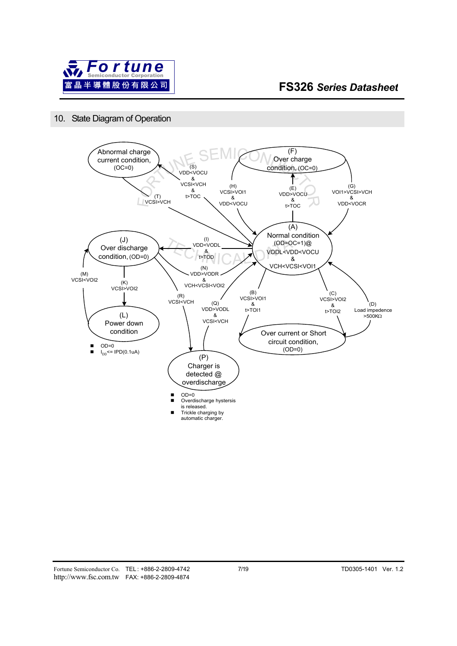

## 10. State Diagram of Operation

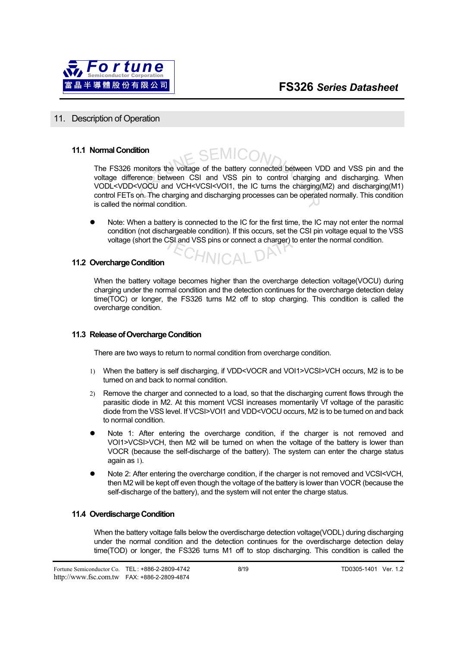

#### 11. Description of Operation

#### **11.1 Normal Condition**

EMIC(

The FS326 monitors the voltage of the battery connected between VDD and VSS pin and the voltage difference between CSI and VSS pin to control charging and discharging. When VODL<VDD<VOCU and VCH<VCSI<VOI1, the IC turns the charging(M2) and discharging(M1) control FETs on. The charging and discharging processes can be operated normally. This condition is called the normal condition.

Note: When a battery is connected to the IC for the first time, the IC may not enter the normal condition (not dischargeable condition). If this occurs, set the CSI pin voltage equal to the VSS voltage (short the CSI and VSS pins or connect a charger) to enter the normal condition.

#### **11.2 Overcharge Condition**

When the battery voltage becomes higher than the overcharge detection voltage(VOCU) during charging under the normal condition and the detection continues for the overcharge detection delay time(TOC) or longer, the FS326 turns M2 off to stop charging. This condition is called the overcharge condition.

#### **11.3 Release of Overcharge Condition**

There are two ways to return to normal condition from overcharge condition.

- 1) When the battery is self discharging, if VDD<VOCR and VOI1>VCSI>VCH occurs, M2 is to be turned on and back to normal condition.
- 2) Remove the charger and connected to a load, so that the discharging current flows through the parasitic diode in M2. At this moment VCSI increases momentarily Vf voltage of the parasitic diode from the VSS level. If VCSI>VOI1 and VDD<VOCU occurs, M2 is to be turned on and back to normal condition.
- Note 1: After entering the overcharge condition, if the charger is not removed and VOI1>VCSI>VCH, then M2 will be turned on when the voltage of the battery is lower than VOCR (because the self-discharge of the battery). The system can enter the charge status again as 1).
- Note 2: After entering the overcharge condition, if the charger is not removed and VCSI<VCH. then M2 will be kept off even though the voltage of the battery is lower than VOCR (because the self-discharge of the battery), and the system will not enter the charge status.

#### **11.4 Overdischarge Condition**

When the battery voltage falls below the overdischarge detection voltage(VODL) during discharging under the normal condition and the detection continues for the overdischarge detection delay time(TOD) or longer, the FS326 turns M1 off to stop discharging. This condition is called the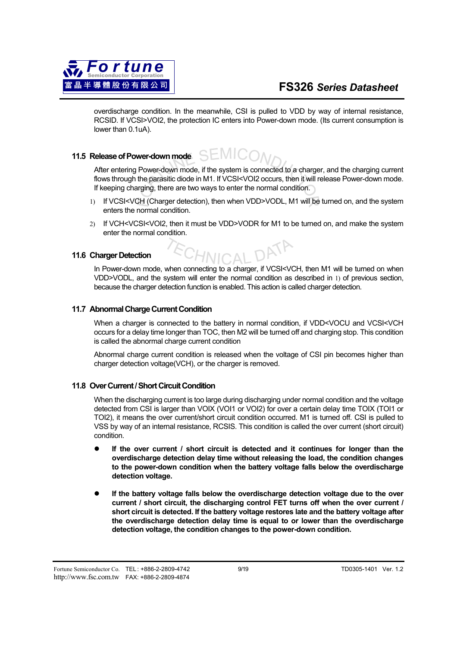

overdischarge condition. In the meanwhile, CSI is pulled to VDD by way of internal resistance, RCSID. If VCSI>VOI2, the protection IC enters into Power-down mode. (Its current consumption is lower than 0.1uA).

#### SEMI( **11.5 Release of Power-down mode**

After entering Power-down mode, if the system is connected to a charger, and the charging current flows through the parasitic diode in M1. If VCSI<VOI2 occurs, then it will release Power-down mode. If keeping charging, there are two ways to enter the normal condition.

- 1) If VCSI<VCH (Charger detection), then when VDD>VODL, M1 will be turned on, and the system enters the normal condition.
- 2) If VCH<VCSI<VOI2, then it must be VDD>VODR for M1 to be turned on, and make the system enter the normal condition.

#### **11.6 Charger Detection**

In Power-down mode, when connecting to a charger, if VCSI<VCH, then M1 will be turned on when VDD>VODL, and the system will enter the normal condition as described in 1) of previous section, because the charger detection function is enabled. This action is called charger detection.

#### **11.7 Abnormal Charge Current Condition**

When a charger is connected to the battery in normal condition, if VDD<VOCU and VCSI<VCH occurs for a delay time longer than TOC, then M2 will be turned off and charging stop. This condition is called the abnormal charge current condition

Abnormal charge current condition is released when the voltage of CSI pin becomes higher than charger detection voltage(VCH), or the charger is removed.

#### **11.8 Over Current / Short Circuit Condition**

When the discharging current is too large during discharging under normal condition and the voltage detected from CSI is larger than VOIX (VOI1 or VOI2) for over a certain delay time TOIX (TOI1 or TOI2), it means the over current/short circuit condition occurred. M1 is turned off. CSI is pulled to VSS by way of an internal resistance, RCSIS. This condition is called the over current (short circuit) condition.

- If the over current / short circuit is detected and it continues for longer than the **overdischarge detection delay time without releasing the load, the condition changes to the power-down condition when the battery voltage falls below the overdischarge detection voltage.**
- If the battery voltage falls below the overdischarge detection voltage due to the over **current / short circuit, the discharging control FET turns off when the over current / short circuit is detected. If the battery voltage restores late and the battery voltage after the overdischarge detection delay time is equal to or lower than the overdischarge detection voltage, the condition changes to the power-down condition.**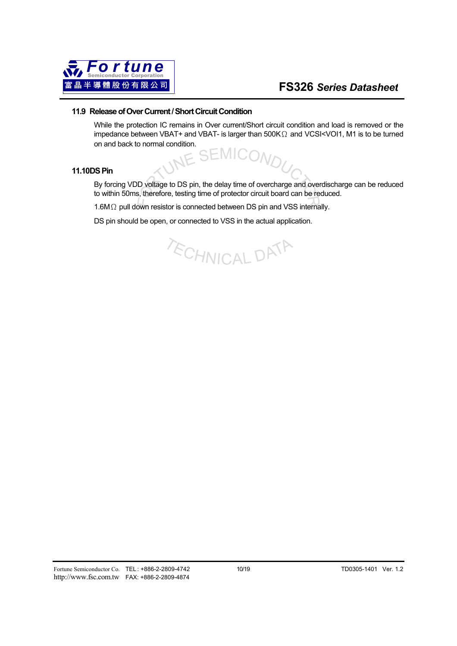

#### **11.9 Release of Over Current / Short Circuit Condition**

While the protection IC remains in Over current/Short circuit condition and load is removed or the impedance between VBAT+ and VBAT- is larger than  $500K<sub>\Omega</sub>$  and VCSI<VOI1, M1 is to be turned on and back to normal condition.

#### **11.10 DS Pin**

By forcing VDD voltage to DS pin, the delay time of overcharge and overdischarge can be reduced to within 50ms, therefore, testing time of protector circuit board can be reduced.

1.6MΩ pull down resistor is connected between DS pin and VSS internally.

DS pin should be open, or connected to VSS in the actual application.

**ECHNICAL DATA**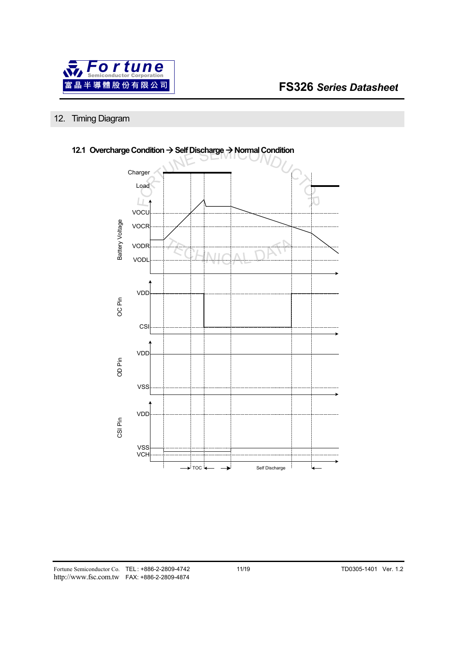

# 12. Timing Diagram



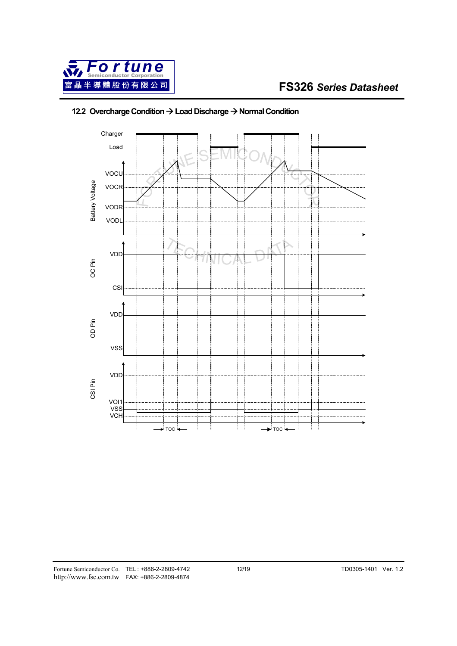



# **12.2 Overcharge Condition → Load Discharge → Normal Condition**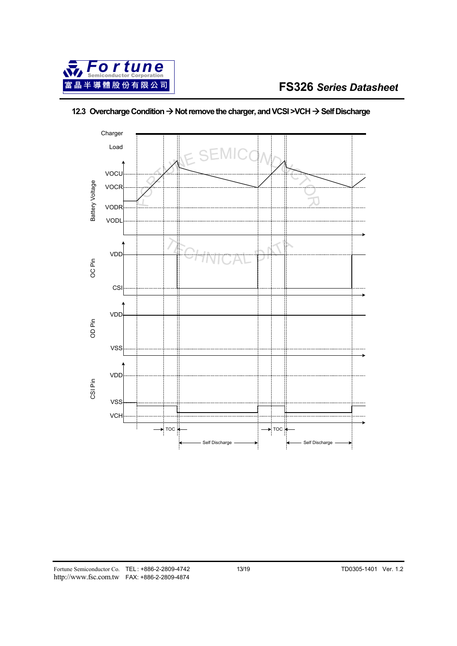

# Charger Load **SEM** VOCU Battery Voltage Battery Voltage VOCR VODR VODL VDD OC Pin CSI VDD OD PinVSS VDD CSI Pin VSS **VCH**  $\sqrt{10}$ TOC Self Discharge Self Discharge

## **12.3 Overcharge Condition → Not remove the charger, and VCSI >VCH → Self Discharge**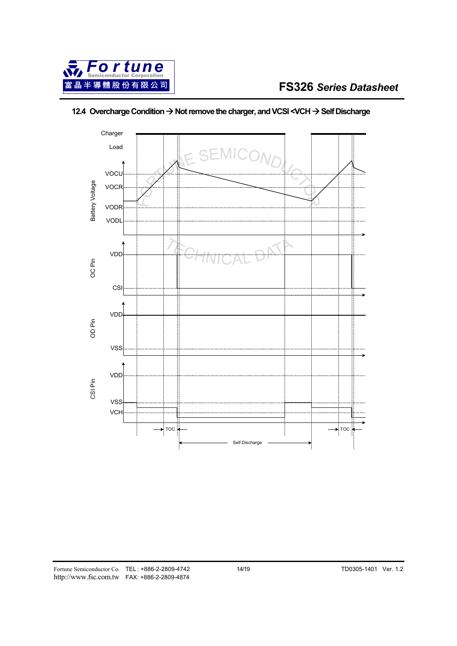



# **12.4 Overcharge Condition → Not remove the charger, and VCSI <VCH → Self Discharge**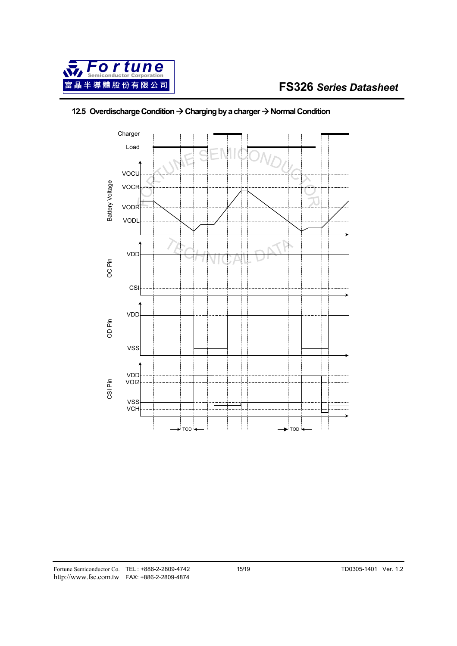

# **12.5 Overdischarge Condition → Charging by a charger → Normal Condition**

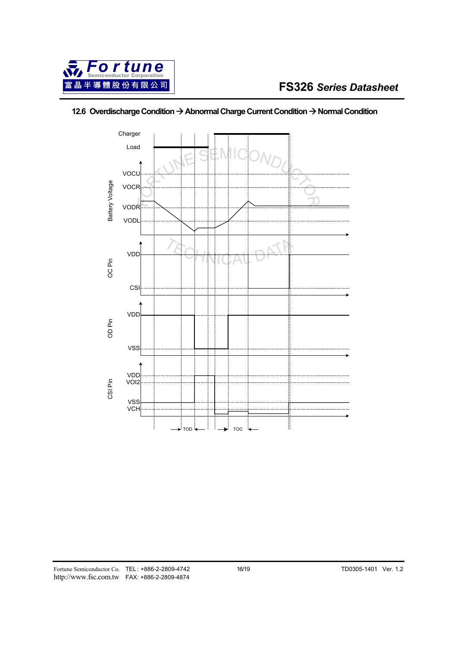

## **12.6 Overdischarge Condition → Abnormal Charge Current Condition → Normal Condition**

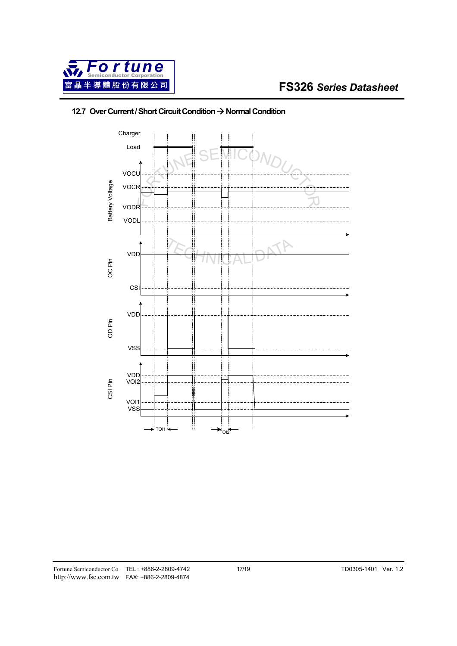



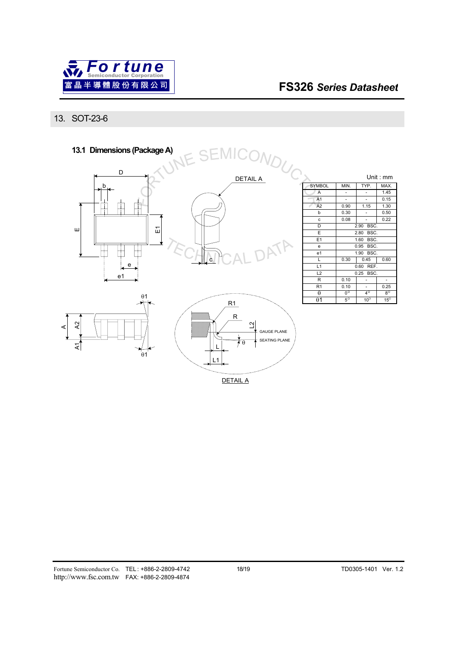

## 13. SOT-23-6



DETAIL A